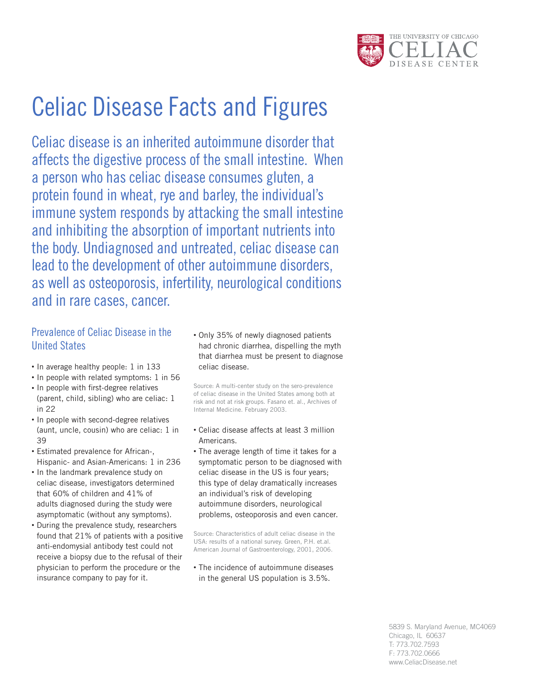

# Celiac Disease Facts and Figures

Celiac disease is an inherited autoimmune disorder that affects the digestive process of the small intestine. When a person who has celiac disease consumes gluten, a protein found in wheat, rye and barley, the individual's immune system responds by attacking the small intestine and inhibiting the absorption of important nutrients into the body. Undiagnosed and untreated, celiac disease can lead to the development of other autoimmune disorders, as well as osteoporosis, infertility, neurological conditions and in rare cases, cancer.

## Prevalence of Celiac Disease in the United States

- In average healthy people: 1 in 133
- In people with related symptoms: 1 in 56
- In people with first-degree relatives (parent, child, sibling) who are celiac: 1 in 22
- In people with second-degree relatives (aunt, uncle, cousin) who are celiac: 1 in 39
- Estimated prevalence for African-, Hispanic- and Asian-Americans: 1 in 236
- In the landmark prevalence study on celiac disease, investigators determined that 60% of children and 41% of adults diagnosed during the study were asymptomatic (without any symptoms).
- During the prevalence study, researchers found that 21% of patients with a positive anti-endomysial antibody test could not receive a biopsy due to the refusal of their physician to perform the procedure or the insurance company to pay for it.

• Only 35% of newly diagnosed patients had chronic diarrhea, dispelling the myth that diarrhea must be present to diagnose celiac disease.

Source: A multi-center study on the sero-prevalence of celiac disease in the United States among both at risk and not at risk groups. Fasano et. al., Archives of Internal Medicine. February 2003.

- Celiac disease affects at least 3 million Americans.
- The average length of time it takes for a symptomatic person to be diagnosed with celiac disease in the US is four years; this type of delay dramatically increases an individual's risk of developing autoimmune disorders, neurological problems, osteoporosis and even cancer.

Source: Characteristics of adult celiac disease in the USA: results of a national survey. Green, P.H. et.al. American Journal of Gastroenterology, 2001, 2006.

• The incidence of autoimmune diseases in the general US population is 3.5%.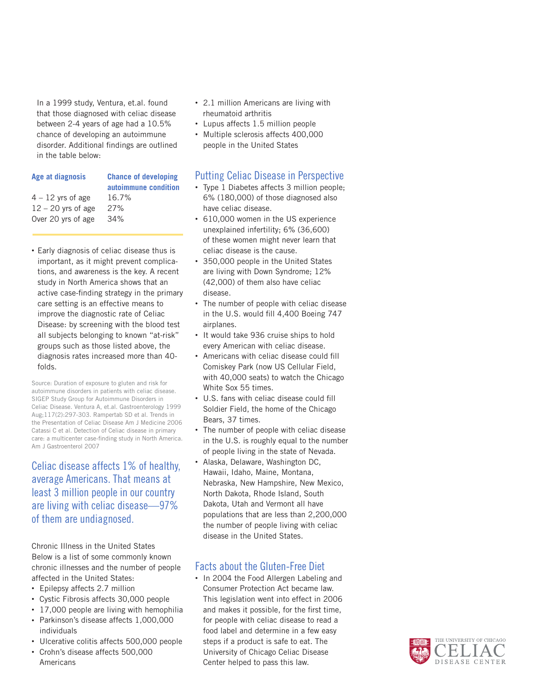In a 1999 study, Ventura, et.al. found that those diagnosed with celiac disease between 2-4 years of age had a 10.5% chance of developing an autoimmune disorder. Additional findings are outlined in the table below:

| Age at diagnosis     | <b>Chance of developing</b><br>autoimmune condition |
|----------------------|-----------------------------------------------------|
| $4 - 12$ yrs of age  | 16.7%                                               |
| $12 - 20$ yrs of age | 27%                                                 |
| Over 20 yrs of age   | 34%                                                 |
|                      |                                                     |

• Early diagnosis of celiac disease thus is important, as it might prevent complications, and awareness is the key. A recent study in North America shows that an active case-finding strategy in the primary care setting is an effective means to improve the diagnostic rate of Celiac Disease: by screening with the blood test all subjects belonging to known "at-risk" groups such as those listed above, the diagnosis rates increased more than 40 folds.

Source: Duration of exposure to gluten and risk for autoimmune disorders in patients with celiac disease. SIGEP Study Group for Autoimmune Disorders in Celiac Disease. Ventura A, et.al. Gastroenterology 1999 Aug;117(2):297-303. Rampertab SD et al. Trends in the Presentation of Celiac Disease Am J Medicine 2006 Catassi C et al. Detection of Celiac disease in primary care: a multicenter case-finding study in North America. Am J Gastroenterol 2007

## Celiac disease affects 1% of healthy, average Americans. That means at least 3 million people in our country are living with celiac disease—97% of them are undiagnosed.

Chronic Illness in the United States Below is a list of some commonly known chronic illnesses and the number of people affected in the United States:

- Epilepsy affects 2.7 million
- Cystic Fibrosis affects 30,000 people
- 17,000 people are living with hemophilia
- Parkinson's disease affects 1,000,000 individuals
- Ulcerative colitis affects 500,000 people
- Crohn's disease affects 500,000 Americans
- 2.1 million Americans are living with rheumatoid arthritis
- Lupus affects 1.5 million people
- Multiple sclerosis affects 400,000 people in the United States

### Putting Celiac Disease in Perspective

- Type 1 Diabetes affects 3 million people; 6% (180,000) of those diagnosed also have celiac disease.
- 610,000 women in the US experience unexplained infertility; 6% (36,600) of these women might never learn that celiac disease is the cause.
- 350,000 people in the United States are living with Down Syndrome; 12% (42,000) of them also have celiac disease.
- The number of people with celiac disease in the U.S. would fill 4,400 Boeing 747 airplanes.
- It would take 936 cruise ships to hold every American with celiac disease.
- Americans with celiac disease could fill Comiskey Park (now US Cellular Field, with 40,000 seats) to watch the Chicago White Sox 55 times.
- U.S. fans with celiac disease could fill Soldier Field, the home of the Chicago Bears, 37 times.
- The number of people with celiac disease in the U.S. is roughly equal to the number of people living in the state of Nevada.
- Alaska, Delaware, Washington DC, Hawaii, Idaho, Maine, Montana, Nebraska, New Hampshire, New Mexico, North Dakota, Rhode Island, South Dakota, Utah and Vermont all have populations that are less than 2,200,000 the number of people living with celiac disease in the United States.

### Facts about the Gluten-Free Diet

• In 2004 the Food Allergen Labeling and Consumer Protection Act became law. This legislation went into effect in 2006 and makes it possible, for the first time, for people with celiac disease to read a food label and determine in a few easy steps if a product is safe to eat. The University of Chicago Celiac Disease Center helped to pass this law.